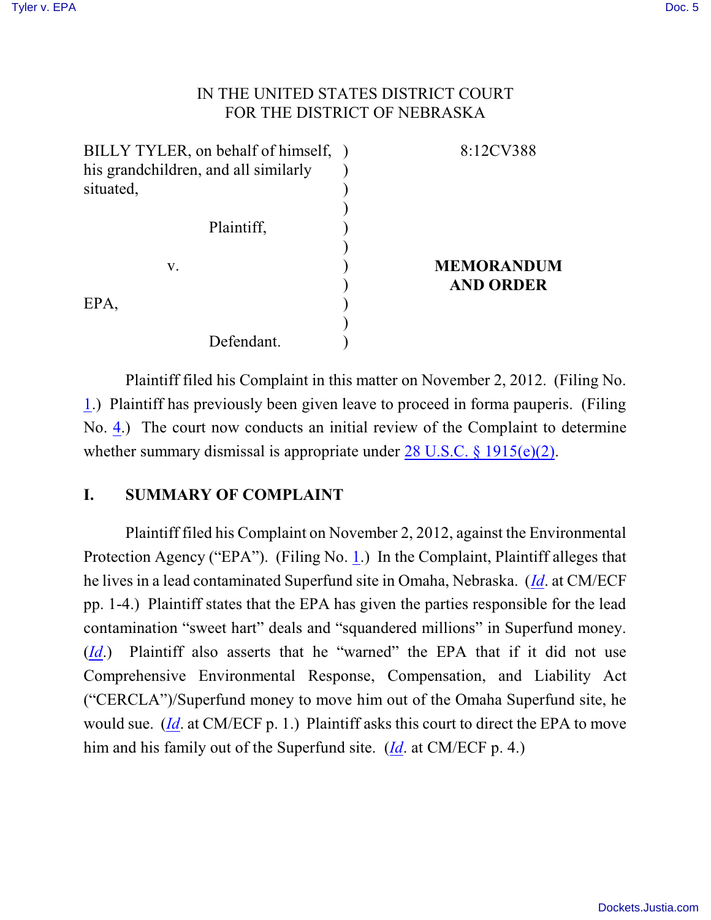## IN THE UNITED STATES DISTRICT COURT FOR THE DISTRICT OF NEBRASKA

| BILLY TYLER, on behalf of himself, ) | 8:12CV388         |
|--------------------------------------|-------------------|
| his grandchildren, and all similarly |                   |
| situated,                            |                   |
|                                      |                   |
| Plaintiff,                           |                   |
|                                      |                   |
| V.                                   | <b>MEMORANDUM</b> |
|                                      | <b>AND ORDER</b>  |
| EPA,                                 |                   |
|                                      |                   |
| Defendant.                           |                   |

Plaintiff filed his Complaint in this matter on November 2, 2012. (Filing No. [1](http://ecf.ned.uscourts.gov/doc1/11302643514).) Plaintiff has previously been given leave to proceed in forma pauperis. (Filing No. [4](http://ecf.ned.uscourts.gov/doc1/11302649069).) The court now conducts an initial review of the Complaint to determine whether summary dismissal is appropriate under [28 U.S.C. §](http://www.westlaw.com/find/default.wl?rs=CLWP3.0&vr=2.0&cite=28+USCA+ss+1915%28e%29) 1915(e)(2).

## **I. SUMMARY OF COMPLAINT**

Plaintiff filed his Complaint on November 2, 2012, against the Environmental Protection Agency ("EPA"). (Filing No. [1](http://ecf.ned.uscourts.gov/doc1/11302643514).) In the Complaint, Plaintiff alleges that he lives in a lead contaminated Superfund site in Omaha, Nebraska. (*[Id](https://ecf.ned.uscourts.gov/doc1/11312643514)*. at CM/ECF pp. 1-4.) Plaintiff states that the EPA has given the parties responsible for the lead contamination "sweet hart" deals and "squandered millions" in Superfund money. (*[Id](https://ecf.ned.uscourts.gov/doc1/11312643514)*.) Plaintiff also asserts that he "warned" the EPA that if it did not use Comprehensive Environmental Response, Compensation, and Liability Act ("CERCLA")/Superfund money to move him out of the Omaha Superfund site, he would sue. (*[Id](https://ecf.ned.uscourts.gov/doc1/11312643514)*. at CM/ECF p. 1.) Plaintiff asks this court to direct the EPA to move him and his family out of the Superfund site. (*[Id](https://ecf.ned.uscourts.gov/doc1/11312643514)*. at CM/ECF p. 4.)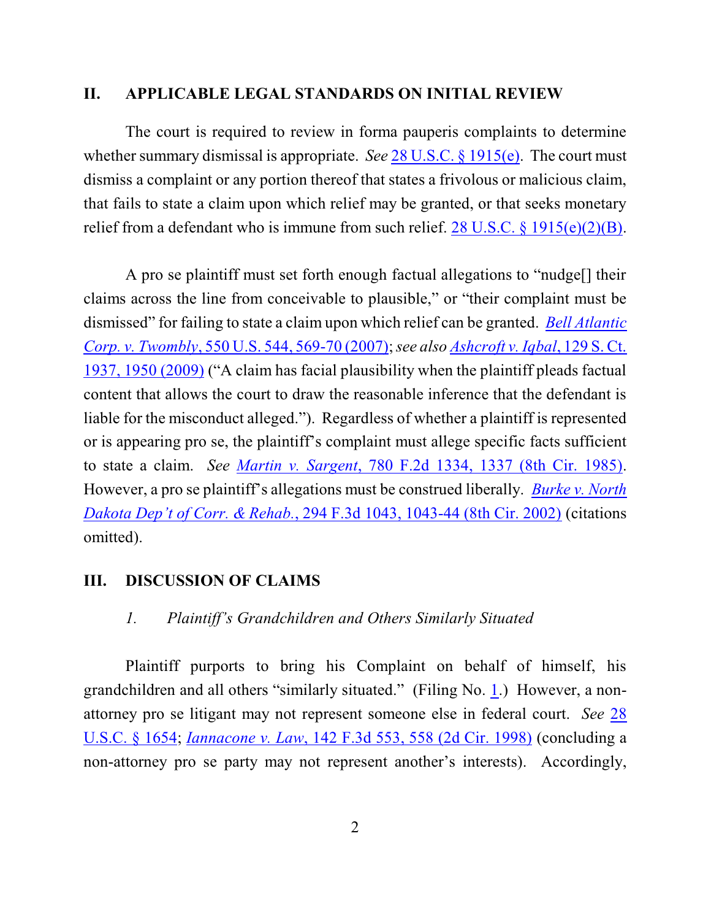#### **II. APPLICABLE LEGAL STANDARDS ON INITIAL REVIEW**

The court is required to review in forma pauperis complaints to determine whether summary dismissal is appropriate. *See* 28 [U.S.C. §](http://www.westlaw.com/find/default.wl?rs=CLWP3.0&vr=2.0&cite=28+USCA+ss+1915%28e%29) 1915(e). The court must dismiss a complaint or any portion thereof that states a frivolous or malicious claim, that fails to state a claim upon which relief may be granted, or that seeks monetary relief from a defendant who is immune from such relief. 28 U.S.C. § [1915\(e\)\(2\)\(B\)](http://www.westlaw.com/find/default.wl?rs=CLWP3.0&vr=2.0&cite=28+USCA+s+1915%28e%29%282%29%28B%29).

A pro se plaintiff must set forth enough factual allegations to "nudge[] their claims across the line from conceivable to plausible," or "their complaint must be dismissed" for failing to state a claim upon which relief can be granted. *Bell [Atlantic](http://web2.westlaw.com/find/default.wl?fn=_top&rs=WLW9.08&rp=%2ffind%2fdefault.wl&ifm=NotSet&vr=2.0&sv=Split&cite=550+us+569) [Corp. v. Twombly](http://web2.westlaw.com/find/default.wl?fn=_top&rs=WLW9.08&rp=%2ffind%2fdefault.wl&ifm=NotSet&vr=2.0&sv=Split&cite=550+us+569)*, 550 U.S. 544, 569-70 (2007); *see also [Ashcroft](http://web2.westlaw.com/find/default.wl?rs=WLW9.10&ifm=NotSet&fn=_top&sv=Split&cite=129+s+ct+1950&vr=2.0&rp=%2ffind%2fdefault.wl&pbc=074303F9) v. Iqbal*, 129 S. Ct. [1937, 1950](http://web2.westlaw.com/find/default.wl?rs=WLW9.10&ifm=NotSet&fn=_top&sv=Split&cite=129+s+ct+1950&vr=2.0&rp=%2ffind%2fdefault.wl&pbc=074303F9) (2009) ("A claim has facial plausibility when the plaintiff pleads factual content that allows the court to draw the reasonable inference that the defendant is liable for the misconduct alleged."). Regardless of whether a plaintiff is represented or is appearing pro se, the plaintiff's complaint must allege specific facts sufficient to state a claim. *See Martin v. Sargent*, 780 F.2d [1334, 1337](http://www.westlaw.com/find/default.wl?rs=CLWP3.0&vr=2.0&cite=780+F.2d+1334) (8th Cir. 1985). However, a pro se plaintiff's allegations must be construed liberally. *[Burke v. North](http://www.westlaw.com/find/default.wl?rs=CLWP3.0&vr=2.0&cite=294+F.3d+1043) Dakota Dep't of Corr. & Rehab.*, 294 F.3d 1043, 1043-44 (8th [Cir. 2002\)](http://www.westlaw.com/find/default.wl?rs=CLWP3.0&vr=2.0&cite=294+F.3d+1043) (citations omitted).

### **III. DISCUSSION OF CLAIMS**

### *1. Plaintiff's Grandchildren and Others Similarly Situated*

Plaintiff purports to bring his Complaint on behalf of himself, his grandchildren and all others "similarly situated." (Filing No. [1](http://ecf.ned.uscourts.gov/doc1/11302643514).) However, a nonattorney pro se litigant may not represent someone else in federal court. *See* [28](http://web2.westlaw.com/find/default.wl?tc=-1&docname=28USCAS1654&rp=%2ffind%2fdefault.wl&sv=Split&rs=WLW11.07&db=1000546&tf=-1&findtype=L&fn=_top&mt=Westlaw&vr=2.0&pbc=539DB148&ordoc=2018672500&RLT=CLID_FQRLT75798572215299&TF=756&TC=1&n=1) [U.S.C. §](http://web2.westlaw.com/find/default.wl?tc=-1&docname=28USCAS1654&rp=%2ffind%2fdefault.wl&sv=Split&rs=WLW11.07&db=1000546&tf=-1&findtype=L&fn=_top&mt=Westlaw&vr=2.0&pbc=539DB148&ordoc=2018672500&RLT=CLID_FQRLT75798572215299&TF=756&TC=1&n=1) 1654; *[Iannacone v. Law](http://web2.westlaw.com/find/default.wl?rs=WLW11.07&rp=%2ffind%2fdefault.wl&vr=2.0&fn=_top&mt=Westlaw&cite=142+F.3d+558&sv=Split)*, 142 F.3d 553, 558 (2d Cir. 1998) (concluding a non-attorney pro se party may not represent another's interests). Accordingly,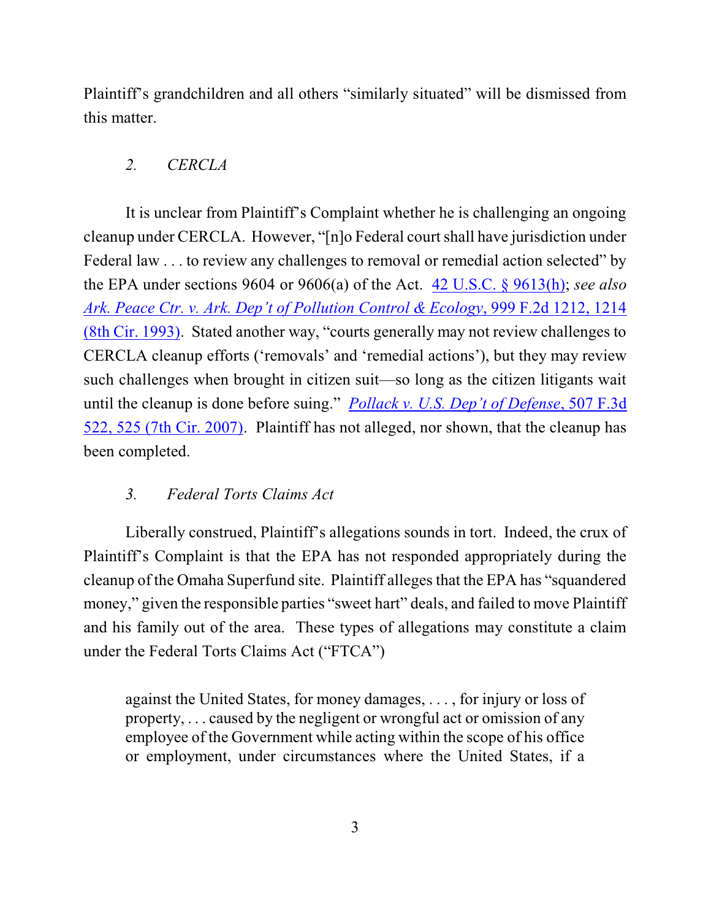Plaintiff's grandchildren and all others "similarly situated" will be dismissed from this matter.

# *2. CERCLA*

It is unclear from Plaintiff's Complaint whether he is challenging an ongoing cleanup under CERCLA. However, "[n]o Federal courtshall have jurisdiction under Federal law . . . to review any challenges to removal or remedial action selected" by the EPA under sections 9604 or 9606(a) of the Act. 42 [U.S.C. §](http://web2.westlaw.com/find/default.wl?cite=42+U.S.C.+%c2%a7+9613&rs=WLW13.01&pbc=BC6E23F9&vr=2.0&rp=%2ffind%2fdefault.wl&sv=Split&fn=_top&mt=Westlaw) 9613(h); *see also [Ark. Peace Ctr. v. Ark. Dep't](http://web2.westlaw.com/find/default.wl?cite=999+F.2d+1214&rs=WLW13.01&pbc=BC6E23F9&vr=2.0&rp=%2ffind%2fdefault.wl&sv=Split&fn=_top&mt=Westlaw) of Pollution Control & Ecology*, 999 F.2d 1212, 1214 (8th [Cir. 1993\)](http://web2.westlaw.com/find/default.wl?cite=999+F.2d+1214&rs=WLW13.01&pbc=BC6E23F9&vr=2.0&rp=%2ffind%2fdefault.wl&sv=Split&fn=_top&mt=Westlaw). Stated another way, "courts generally may not review challenges to CERCLA cleanup efforts ('removals' and 'remedial actions'), but they may review such challenges when brought in citizen suit—so long as the citizen litigants wait until the cleanup is done before suing." *[Pollack v. U.S. Dep't of Defense](http://web2.westlaw.com/find/default.wl?cite=507+F.3d+525&rs=WLW13.01&pbc=BC6E23F9&vr=2.0&rp=%2ffind%2fdefault.wl&sv=Split&fn=_top&mt=Westlaw)*, 507 F.3d [522, 525 \(7th](http://web2.westlaw.com/find/default.wl?cite=507+F.3d+525&rs=WLW13.01&pbc=BC6E23F9&vr=2.0&rp=%2ffind%2fdefault.wl&sv=Split&fn=_top&mt=Westlaw) Cir. 2007). Plaintiff has not alleged, nor shown, that the cleanup has been completed.

# *3. Federal Torts Claims Act*

Liberally construed, Plaintiff's allegations sounds in tort. Indeed, the crux of Plaintiff's Complaint is that the EPA has not responded appropriately during the cleanup of the Omaha Superfund site. Plaintiff allegesthat the EPA has "squandered money," given the responsible parties "sweet hart" deals, and failed to move Plaintiff and his family out of the area. These types of allegations may constitute a claim under the Federal Torts Claims Act ("FTCA")

against the United States, for money damages, . . . , for injury or loss of property, . . . caused by the negligent or wrongful act or omission of any employee of the Government while acting within the scope of his office or employment, under circumstances where the United States, if a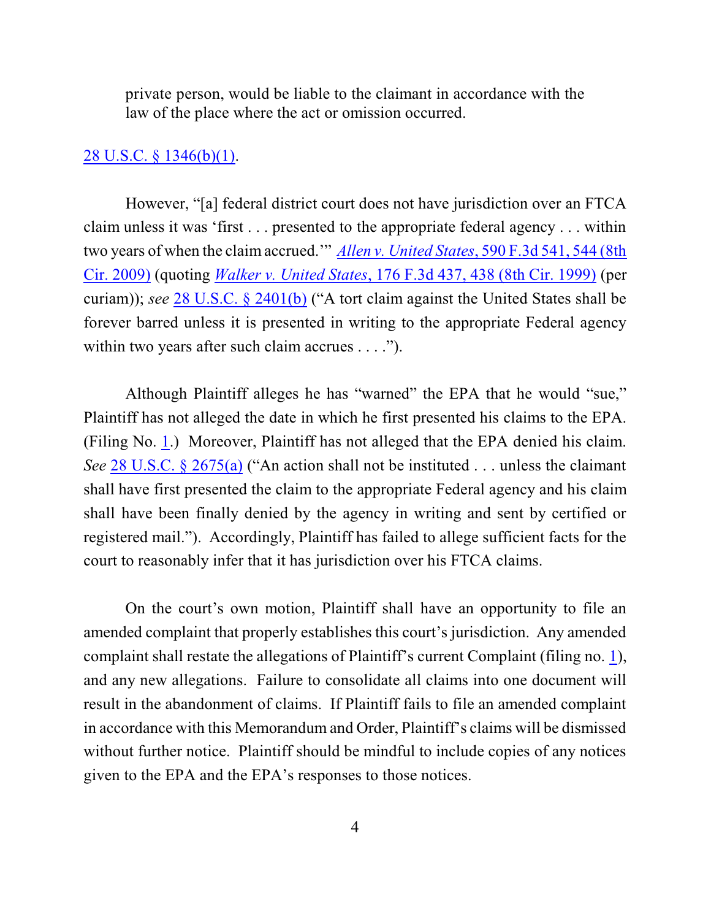private person, would be liable to the claimant in accordance with the law of the place where the act or omission occurred.

### [28 U.S.C. § 1346\(b\)\(1\)](http://web2.westlaw.com/find/default.wl?cite=28+U.S.C.+%c2%a7+1346&rs=WLW13.01&pbc=BC6E23F9&vr=2.0&rp=%2ffind%2fdefault.wl&sv=Split&fn=_top&mt=Westlaw).

However, "[a] federal district court does not have jurisdiction over an FTCA claim unless it was 'first . . . presented to the appropriate federal agency . . . within two years of when the claim accrued.'" *Allen [v. United](http://web2.westlaw.com/find/default.wl?cite=590+F.3d+544&rs=WLW13.01&pbc=BC6E23F9&vr=2.0&rp=%2ffind%2fdefault.wl&sv=Split&fn=_top&mt=Westlaw) States*, 590 F.3d 541, 544 (8th [Cir. 2009\)](http://web2.westlaw.com/find/default.wl?cite=590+F.3d+544&rs=WLW13.01&pbc=BC6E23F9&vr=2.0&rp=%2ffind%2fdefault.wl&sv=Split&fn=_top&mt=Westlaw) (quoting *Walker v. United States*, 176 F.3d 437, 438 (8th [Cir. 1999\)](http://web2.westlaw.com/find/default.wl?cite=176+F.3d+438&rs=WLW13.01&pbc=BC6E23F9&vr=2.0&rp=%2ffind%2fdefault.wl&sv=Split&fn=_top&mt=Westlaw) (per curiam)); *see* 28 [U.S.C. §](http://web2.westlaw.com/find/default.wl?cite=28+U.S.C.+%c2%a7+2401&rs=WLW13.01&pbc=BC6E23F9&vr=2.0&rp=%2ffind%2fdefault.wl&sv=Split&fn=_top&mt=Westlaw) 2401(b) ("A tort claim against the United States shall be forever barred unless it is presented in writing to the appropriate Federal agency within two years after such claim accrues . . . .").

Although Plaintiff alleges he has "warned" the EPA that he would "sue," Plaintiff has not alleged the date in which he first presented his claims to the EPA. (Filing No. [1](http://ecf.ned.uscourts.gov/doc1/11302643514).) Moreover, Plaintiff has not alleged that the EPA denied his claim. *See* 28 [U.S.C. §](http://web2.westlaw.com/find/default.wl?cite=28+U.S.C.+%c2%a7+2675&rs=WLW13.01&pbc=BC6E23F9&vr=2.0&rp=%2ffind%2fdefault.wl&sv=Split&fn=_top&mt=Westlaw) 2675(a) ("An action shall not be instituted . . . unless the claimant shall have first presented the claim to the appropriate Federal agency and his claim shall have been finally denied by the agency in writing and sent by certified or registered mail."). Accordingly, Plaintiff has failed to allege sufficient facts for the court to reasonably infer that it has jurisdiction over his FTCA claims.

On the court's own motion, Plaintiff shall have an opportunity to file an amended complaint that properly establishes this court's jurisdiction. Any amended complaint shall restate the allegations of Plaintiff's current Complaint (filing no. [1](http://ecf.ned.uscourts.gov/doc1/11302643514)), and any new allegations. Failure to consolidate all claims into one document will result in the abandonment of claims. If Plaintiff fails to file an amended complaint in accordance with this Memorandum and Order, Plaintiff's claims will be dismissed without further notice. Plaintiff should be mindful to include copies of any notices given to the EPA and the EPA's responses to those notices.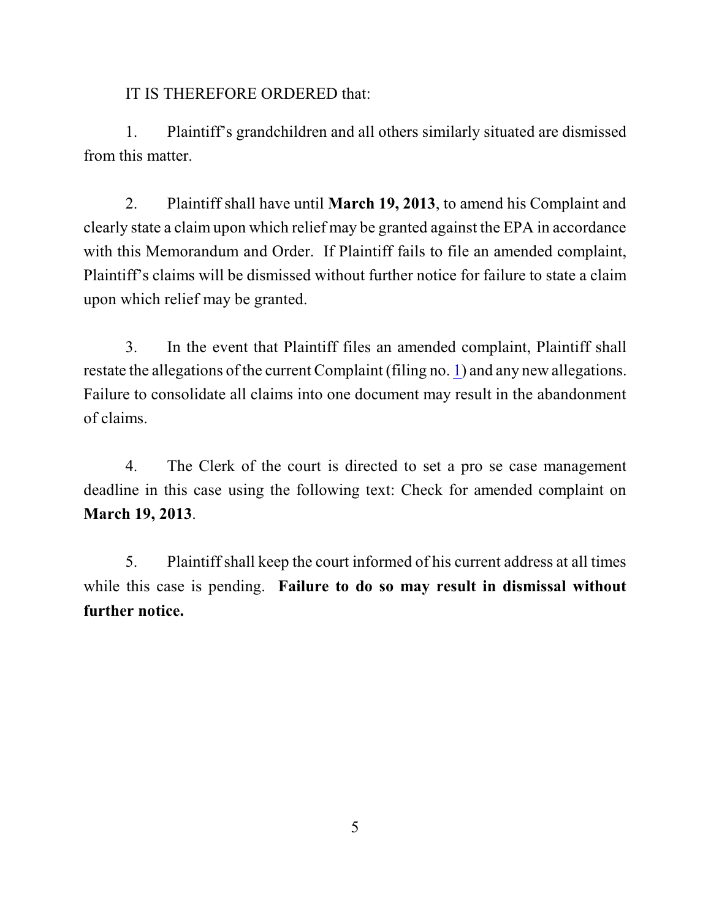IT IS THEREFORE ORDERED that:

1. Plaintiff's grandchildren and all others similarly situated are dismissed from this matter.

2. Plaintiff shall have until **March 19, 2013**, to amend his Complaint and clearly state a claim upon which relief may be granted against the EPA in accordance with this Memorandum and Order. If Plaintiff fails to file an amended complaint, Plaintiff's claims will be dismissed without further notice for failure to state a claim upon which relief may be granted.

3. In the event that Plaintiff files an amended complaint, Plaintiff shall restate the allegations of the current Complaint (filing no. [1](http://ecf.ned.uscourts.gov/doc1/11302643514)) and any new allegations. Failure to consolidate all claims into one document may result in the abandonment of claims.

4. The Clerk of the court is directed to set a pro se case management deadline in this case using the following text: Check for amended complaint on **March 19, 2013**.

5. Plaintiff shall keep the court informed of his current address at all times while this case is pending. **Failure to do so may result in dismissal without further notice.**